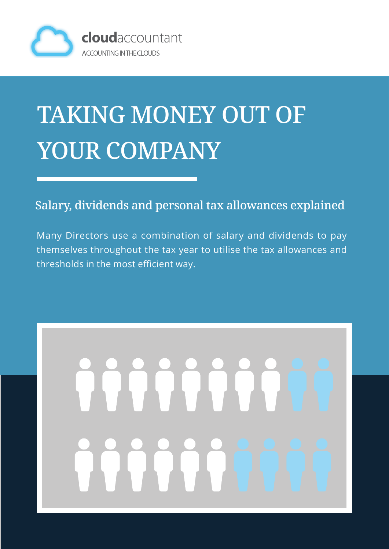

### TAKING MONEY OUT OF YOUR COMPANY

Salary, dividends and personal tax allowances explained

Many Directors use a combination of salary and dividends to pay themselves throughout the tax year to utilise the tax allowances and thresholds in the most efficient way.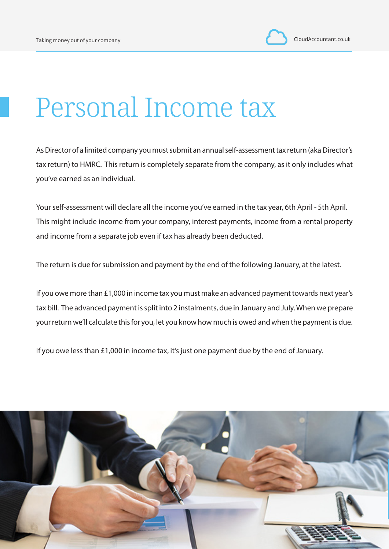#### Personal Income tax

As Director of a limited company you must submit an annual self-assessment tax return (aka Director's tax return) to HMRC. This return is completely separate from the company, as it only includes what you've earned as an individual.

Your self-assessment will declare all the income you've earned in the tax year, 6th April - 5th April. This might include income from your company, interest payments, income from a rental property and income from a separate job even if tax has already been deducted.

The return is due for submission and payment by the end of the following January, at the latest.

If you owe more than £1,000 in income tax you must make an advanced payment towards next year's tax bill. The advanced payment is split into 2 instalments, due in January and July. When we prepare your return we'll calculate this for you, let you know how much is owed and when the payment is due.

If you owe less than £1,000 in income tax, it's just one payment due by the end of January.

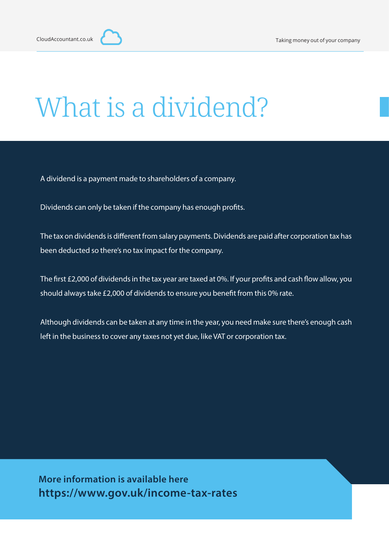### What is a dividend?

A dividend is a payment made to shareholders of a company.

Dividends can only be taken if the company has enough profits.

The tax on dividends is different from salary payments. Dividends are paid after corporation tax has been deducted so there's no tax impact for the company.

The first £2,000 of dividends in the tax year are taxed at 0%. If your profits and cash flow allow, you should always take £2,000 of dividends to ensure you benefit from this 0% rate.

Although dividends can be taken at any time in the year, you need make sure there's enough cash left in the business to cover any taxes not yet due, like VAT or corporation tax.

**More information is available here https://www.gov.uk/income-tax-rates**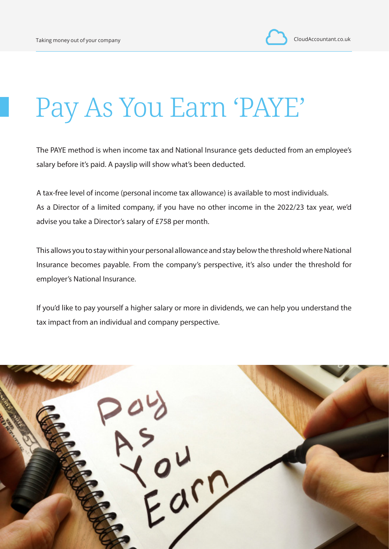#### Pay As You Earn 'PAYE'

The PAYE method is when income tax and National Insurance gets deducted from an employee's salary before it's paid. A payslip will show what's been deducted.

A tax-free level of income (personal income tax allowance) is available to most individuals. As a Director of a limited company, if you have no other income in the 2022/23 tax year, we'd advise you take a Director's salary of £758 per month.

This allows you to stay within your personal allowance and stay below the threshold where National Insurance becomes payable. From the company's perspective, it's also under the threshold for employer's National Insurance.

If you'd like to pay yourself a higher salary or more in dividends, we can help you understand the tax impact from an individual and company perspective.

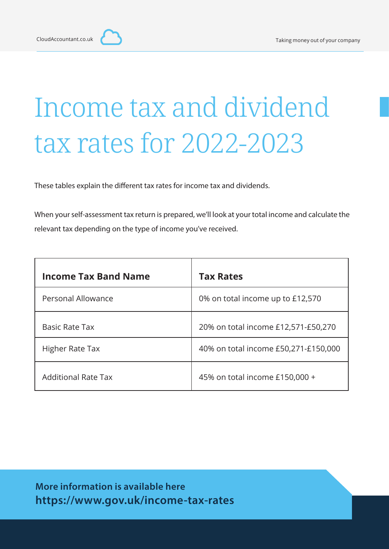## Income tax and dividend tax rates for 2022-2023

These tables explain the different tax rates for income tax and dividends.

When your self-assessment tax return is prepared, we'll look at your total income and calculate the relevant tax depending on the type of income you've received.

| <b>Income Tax Band Name</b> | <b>Tax Rates</b>                     |
|-----------------------------|--------------------------------------|
| Personal Allowance          | 0% on total income up to £12,570     |
| <b>Basic Rate Tax</b>       | 20% on total income £12,571-£50,270  |
| Higher Rate Tax             | 40% on total income £50,271-£150,000 |
| <b>Additional Rate Tax</b>  | 45% on total income £150,000 +       |

**More information is available here https://www.gov.uk/income-tax-rates**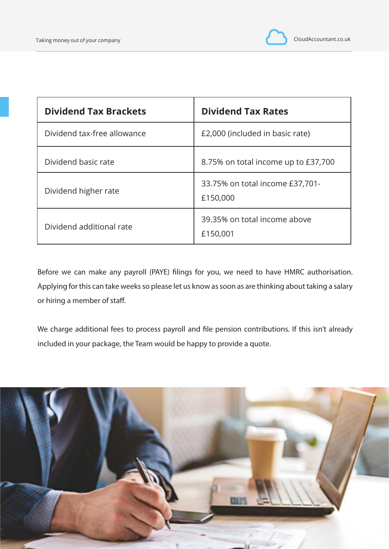

| <b>Dividend Tax Brackets</b> | <b>Dividend Tax Rates</b>                   |
|------------------------------|---------------------------------------------|
| Dividend tax-free allowance  | £2,000 (included in basic rate)             |
| Dividend basic rate          | 8.75% on total income up to £37,700         |
| Dividend higher rate         | 33.75% on total income £37,701-<br>£150,000 |
| Dividend additional rate     | 39.35% on total income above<br>£150,001    |

Before we can make any payroll (PAYE) filings for you, we need to have HMRC authorisation. Applying for this can take weeks so please let us know as soon as are thinking about taking a salary or hiring a member of staff.

We charge additional fees to process payroll and file pension contributions. If this isn't already included in your package, the Team would be happy to provide a quote.